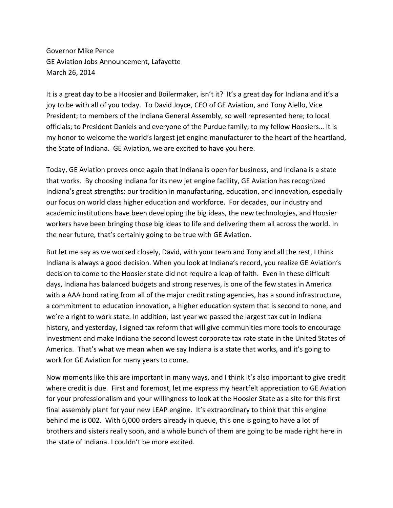Governor Mike Pence GE Aviation Jobs Announcement, Lafayette March 26, 2014

It is a great day to be a Hoosier and Boilermaker, isn't it? It's a great day for Indiana and it's a joy to be with all of you today. To David Joyce, CEO of GE Aviation, and Tony Aiello, Vice President; to members of the Indiana General Assembly, so well represented here; to local officials; to President Daniels and everyone of the Purdue family; to my fellow Hoosiers… It is my honor to welcome the world's largest jet engine manufacturer to the heart of the heartland, the State of Indiana. GE Aviation, we are excited to have you here.

Today, GE Aviation proves once again that Indiana is open for business, and Indiana is a state that works. By choosing Indiana for its new jet engine facility, GE Aviation has recognized Indiana's great strengths: our tradition in manufacturing, education, and innovation, especially our focus on world class higher education and workforce. For decades, our industry and academic institutions have been developing the big ideas, the new technologies, and Hoosier workers have been bringing those big ideas to life and delivering them all across the world. In the near future, that's certainly going to be true with GE Aviation.

But let me say as we worked closely, David, with your team and Tony and all the rest, I think Indiana is always a good decision. When you look at Indiana's record, you realize GE Aviation's decision to come to the Hoosier state did not require a leap of faith. Even in these difficult days, Indiana has balanced budgets and strong reserves, is one of the few states in America with a AAA bond rating from all of the major credit rating agencies, has a sound infrastructure, a commitment to education innovation, a higher education system that is second to none, and we're a right to work state. In addition, last year we passed the largest tax cut in Indiana history, and yesterday, I signed tax reform that will give communities more tools to encourage investment and make Indiana the second lowest corporate tax rate state in the United States of America. That's what we mean when we say Indiana is a state that works, and it's going to work for GE Aviation for many years to come.

Now moments like this are important in many ways, and I think it's also important to give credit where credit is due. First and foremost, let me express my heartfelt appreciation to GE Aviation for your professionalism and your willingness to look at the Hoosier State as a site for this first final assembly plant for your new LEAP engine. It's extraordinary to think that this engine behind me is 002. With 6,000 orders already in queue, this one is going to have a lot of brothers and sisters really soon, and a whole bunch of them are going to be made right here in the state of Indiana. I couldn't be more excited.